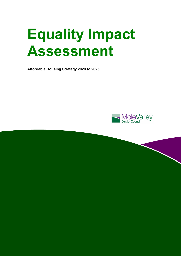# **Equality Impact Assessment**

**Affordable Housing Strategy 2020 to 2025** 

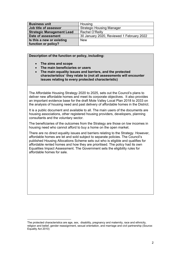| <b>Business unit</b>             | Housing                                   |
|----------------------------------|-------------------------------------------|
| Job title of assessor            | <b>Strategic Housing Manager</b>          |
| <b>Strategic Management Lead</b> | Rachel O'Reilly                           |
| Date of assessment               | 30 January 2020, Reviewed 1 February 2022 |
| Is this a new or existing        | <b>New</b>                                |
| function or policy?              |                                           |

**Description of the function or policy, including:** 

**The aims and scope** 

l

- **The main beneficiaries or users**
- **The main equality issues and barriers, and the protected characteristics**<sup>1</sup> **they relate to (not all assessments will encounter issues relating to every protected characteristic)**

The Affordable Housing Strategy 2020 to 2025, sets out the Council's plans to deliver new affordable homes and meet its corporate objectives. It also provides an important evidence base for the draft Mole Valley Local Plan 2018 to 2033 on the analysis of housing need and past delivery of affordable homes in the District.

It is a public document and available to all. The main users of the documents are housing associations, other registered housing providers, developers, planning consultants and the voluntary sector.

The beneficiaries of the outcomes from the Strategy are those on low incomes in housing need who cannot afford to buy a home on the open market.

There are no direct equality issues and barriers relating to the Strategy. However, affordable homes are let and sold subject to separate policies. The Council's published Housing Allocations Scheme sets out who is eligible and qualifies for affordable rented homes and how they are prioritised. The policy had its own Equalities Impact Assessment. The Government sets the eligibility rules for affordable homes for sale.

The protected characteristics are age, sex, disability, pregnancy and maternity, race and ethnicity, religion and belief, gender reassignment, sexual orientation, and marriage and civil partnership (Source: Equality Act 2010)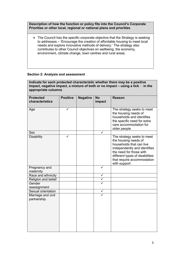**Description of how the function or policy fits into the Council's Corporate Priorities or other local, regional or national plans and priorities** 

 The Council has the specific corporate objective that the Strategy is seeking to addresses – 'Encourage the creation of affordable housing to meet local needs and explore innovative methods of delivery.' The strategy also contributes to other Council objectives on wellbeing, the economy, environment, climate change, town centres and rural areas.

## **Section 2: Analysis and assessment**

| Indicate for each protected characteristic whether there may be a positive<br>impact, negative impact, a mixture of both or no impact $-$ using a tick $\Box$ in the<br>appropriate columns |                 |                 |                     |                                                                                                                                                                                                                            |  |  |
|---------------------------------------------------------------------------------------------------------------------------------------------------------------------------------------------|-----------------|-----------------|---------------------|----------------------------------------------------------------------------------------------------------------------------------------------------------------------------------------------------------------------------|--|--|
| <b>Protected</b><br>characteristics                                                                                                                                                         | <b>Positive</b> | <b>Negative</b> | <b>No</b><br>impact | <b>Reason</b>                                                                                                                                                                                                              |  |  |
| Age                                                                                                                                                                                         | ✓               |                 |                     | The strategy seeks to meet<br>the housing needs of<br>households and identifies<br>the specific need for extra<br>care accommodation for<br>older people                                                                   |  |  |
| <b>Sex</b>                                                                                                                                                                                  |                 |                 |                     |                                                                                                                                                                                                                            |  |  |
| <b>Disability</b>                                                                                                                                                                           |                 |                 |                     | The strategy seeks to meet<br>the housing needs of<br>households that can live<br>independently and identifies<br>the need for those with<br>different types of disabilities<br>that require accommodation<br>with support |  |  |
| Pregnancy and                                                                                                                                                                               |                 |                 | ✓                   |                                                                                                                                                                                                                            |  |  |
| maternity                                                                                                                                                                                   |                 |                 |                     |                                                                                                                                                                                                                            |  |  |
| Race and ethnicity                                                                                                                                                                          |                 |                 | $\checkmark$        |                                                                                                                                                                                                                            |  |  |
| Religion and belief                                                                                                                                                                         |                 |                 | $\checkmark$        |                                                                                                                                                                                                                            |  |  |
| Gender<br>reassignment                                                                                                                                                                      |                 |                 |                     |                                                                                                                                                                                                                            |  |  |
| Sexual orientation                                                                                                                                                                          |                 |                 | ✓                   |                                                                                                                                                                                                                            |  |  |
| Marriage and civil<br>partnership                                                                                                                                                           |                 |                 |                     |                                                                                                                                                                                                                            |  |  |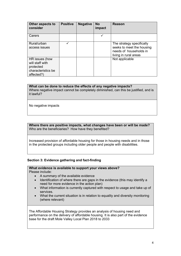| Other aspects to<br>consider                                                       | <b>Positive</b> | <b>Negative</b> | <b>No</b><br>impact | <b>Reason</b>                                                                                             |
|------------------------------------------------------------------------------------|-----------------|-----------------|---------------------|-----------------------------------------------------------------------------------------------------------|
| Carers                                                                             |                 |                 |                     |                                                                                                           |
| Rural/urban<br>access issues                                                       |                 |                 |                     | The strategy specifically<br>seeks to meet the housing<br>needs of households in<br>living in rural areas |
| HR issues (how<br>will staff with<br>protected<br>characteristics be<br>affected?) |                 |                 |                     | Not applicable                                                                                            |

## **What can be done to reduce the effects of any negative impacts?**

Where negative impact cannot be completely diminished, can this be justified, and is it lawful?

No negative impacts

**Where there are positive impacts, what changes have been or will be made?**  Who are the beneficiaries? How have they benefited?

Increased provision of affordable housing for those in housing needs and in those in the protected groups including older people and people with disabilities.

### **Section 3: Evidence gathering and fact-finding**

**What evidence is available to support your views above?**  Please include:

- A summary of the available evidence
- Identification of where there are gaps in the evidence (this may identify a need for more evidence in the action plan)
- What information is currently captured with respect to usage and take up of services.
- What the current situation is in relation to equality and diversity monitoring (where relevant)

The Affordable Housing Strategy provides an analysis of housing need and performance on the delivery of affordable housing. It is also part of the evidence base for the draft Mole Valley Local Plan 2018 to 2033